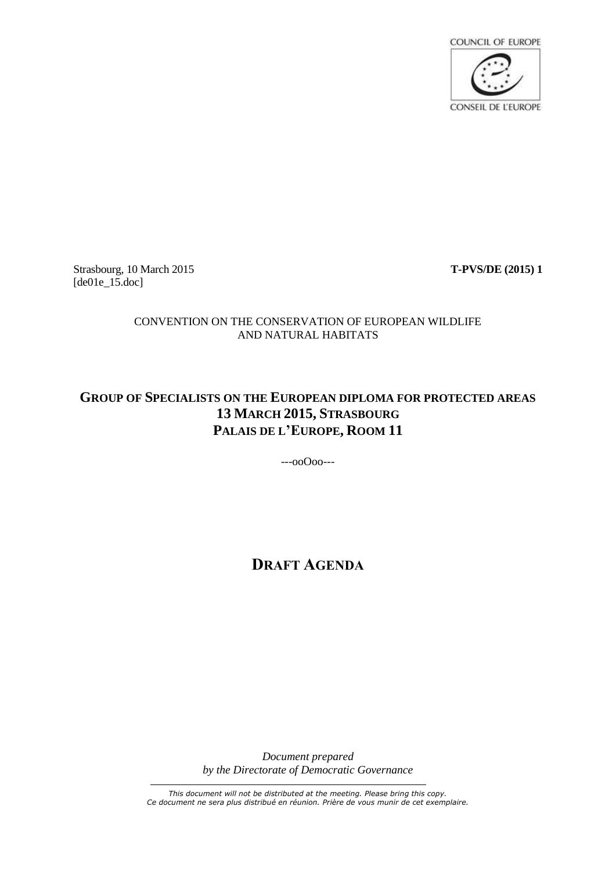

Strasbourg, 10 March 2015 **T-PVS/DE (2015) 1** [de01e\_15.doc]

### CONVENTION ON THE CONSERVATION OF EUROPEAN WILDLIFE AND NATURAL HABITATS

# **GROUP OF SPECIALISTS ON THE EUROPEAN DIPLOMA FOR PROTECTED AREAS 13 MARCH 2015, STRASBOURG PALAIS DE L'EUROPE, ROOM 11**

---ooOoo---

# **DRAFT AGENDA**

*Document prepared by the Directorate of Democratic Governance*

*This document will not be distributed at the meeting. Please bring this copy. Ce document ne sera plus distribué en réunion. Prière de vous munir de cet exemplaire.*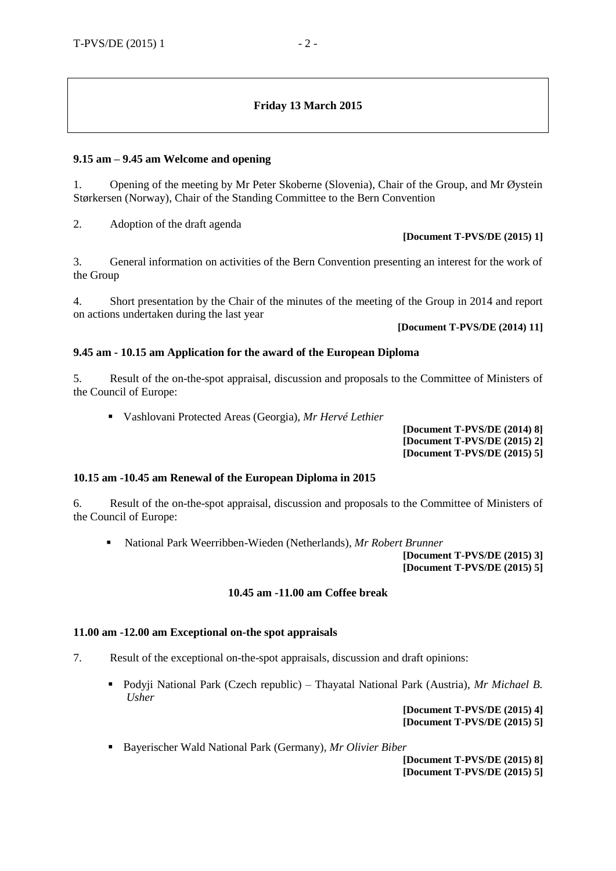## **Friday 13 March 2015**

#### **9.15 am – 9.45 am Welcome and opening**

1. Opening of the meeting by Mr Peter Skoberne (Slovenia), Chair of the Group, and Mr Øystein Størkersen (Norway), Chair of the Standing Committee to the Bern Convention

2. Adoption of the draft agenda

#### **[Document T-PVS/DE (2015) 1]**

3. General information on activities of the Bern Convention presenting an interest for the work of the Group

4. Short presentation by the Chair of the minutes of the meeting of the Group in 2014 and report on actions undertaken during the last year

## **[Document T-PVS/DE (2014) 11]**

#### **9.45 am - 10.15 am Application for the award of the European Diploma**

5. Result of the on-the-spot appraisal, discussion and proposals to the Committee of Ministers of the Council of Europe:

Vashlovani Protected Areas (Georgia), *Mr Hervé Lethier*

**[Document T-PVS/DE (2014) 8] [Document T-PVS/DE (2015) 2] [Document T-PVS/DE (2015) 5]**

#### **10.15 am -10.45 am Renewal of the European Diploma in 2015**

6. Result of the on-the-spot appraisal, discussion and proposals to the Committee of Ministers of the Council of Europe:

National Park Weerribben-Wieden (Netherlands), *Mr Robert Brunner*

**[Document T-PVS/DE (2015) 3] [Document T-PVS/DE (2015) 5]**

#### **10.45 am -11.00 am Coffee break**

#### **11.00 am -12.00 am Exceptional on-the spot appraisals**

- 7. Result of the exceptional on-the-spot appraisals, discussion and draft opinions:
	- Podyji National Park (Czech republic) Thayatal National Park (Austria), *Mr Michael B. Usher*

**[Document T-PVS/DE (2015) 4] [Document T-PVS/DE (2015) 5]**

Bayerischer Wald National Park (Germany), *Mr Olivier Biber*

**[Document T-PVS/DE (2015) 8] [Document T-PVS/DE (2015) 5]**